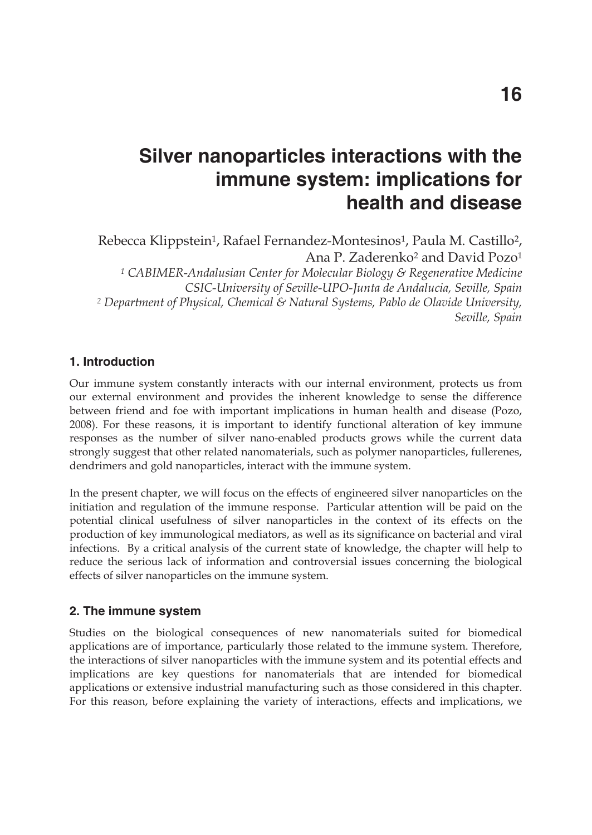# **Silver nanoparticles interactions with the immune system: implications for health and disease**

Rebecca Klippstein<sup>1</sup>, Rafael Fernandez-Montesinos<sup>1</sup>, Paula M. Castillo<sup>2</sup>, Ana P. Zaderenko<sup>2</sup> and David Pozo<sup>1</sup> *1 CABIMER-Andalusian Center for Molecular Biology & Regenerative Medicine CSIC-University of Seville-UPO-Junta de Andalucia, Seville, Spain 2 Department of Physical, Chemical & Natural Systems, Pablo de Olavide University, Seville, Spain* 

# **1. Introduction**

Our immune system constantly interacts with our internal environment, protects us from our external environment and provides the inherent knowledge to sense the difference between friend and foe with important implications in human health and disease (Pozo, 2008). For these reasons, it is important to identify functional alteration of key immune responses as the number of silver nano-enabled products grows while the current data strongly suggest that other related nanomaterials, such as polymer nanoparticles, fullerenes, dendrimers and gold nanoparticles, interact with the immune system.

In the present chapter, we will focus on the effects of engineered silver nanoparticles on the initiation and regulation of the immune response. Particular attention will be paid on the potential clinical usefulness of silver nanoparticles in the context of its effects on the production of key immunological mediators, as well as its significance on bacterial and viral infections. By a critical analysis of the current state of knowledge, the chapter will help to reduce the serious lack of information and controversial issues concerning the biological effects of silver nanoparticles on the immune system.

# **2. The immune system**

Studies on the biological consequences of new nanomaterials suited for biomedical applications are of importance, particularly those related to the immune system. Therefore, the interactions of silver nanoparticles with the immune system and its potential effects and implications are key questions for nanomaterials that are intended for biomedical applications or extensive industrial manufacturing such as those considered in this chapter. For this reason, before explaining the variety of interactions, effects and implications, we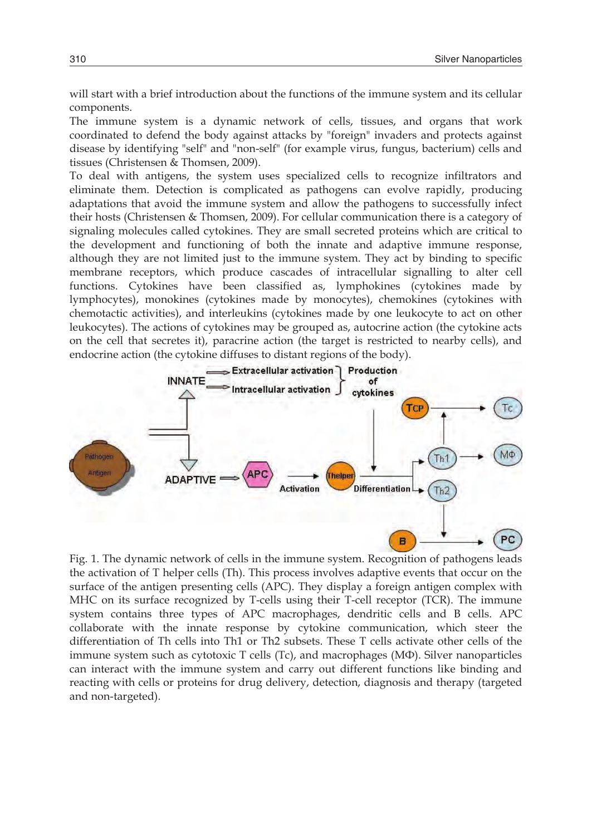will start with a brief introduction about the functions of the immune system and its cellular components.

The immune system is a dynamic network of cells, tissues, and organs that work coordinated to defend the body against attacks by "foreign" invaders and protects against disease by identifying "self" and "non-self" (for example virus, fungus, bacterium) cells and tissues (Christensen & Thomsen, 2009).

To deal with antigens, the system uses specialized cells to recognize infiltrators and eliminate them. Detection is complicated as pathogens can evolve rapidly, producing adaptations that avoid the immune system and allow the pathogens to successfully infect their hosts (Christensen & Thomsen, 2009). For cellular communication there is a category of signaling molecules called cytokines. They are small secreted proteins which are critical to the development and functioning of both the innate and adaptive immune response, although they are not limited just to the immune system. They act by binding to specific membrane receptors, which produce cascades of intracellular signalling to alter cell functions. Cytokines have been classified as, lymphokines (cytokines made by lymphocytes), monokines (cytokines made by monocytes), chemokines (cytokines with chemotactic activities), and interleukins (cytokines made by one leukocyte to act on other leukocytes). The actions of cytokines may be grouped as, autocrine action (the cytokine acts on the cell that secretes it), paracrine action (the target is restricted to nearby cells), and endocrine action (the cytokine diffuses to distant regions of the body).



Fig. 1. The dynamic network of cells in the immune system. Recognition of pathogens leads the activation of T helper cells (Th). This process involves adaptive events that occur on the surface of the antigen presenting cells (APC). They display a foreign antigen complex with MHC on its surface recognized by T-cells using their T-cell receptor (TCR). The immune system contains three types of APC macrophages, dendritic cells and B cells. APC collaborate with the innate response by cytokine communication, which steer the differentiation of Th cells into Th1 or Th2 subsets. These T cells activate other cells of the immune system such as cytotoxic T cells (Tc), and macrophages (MФ). Silver nanoparticles can interact with the immune system and carry out different functions like binding and reacting with cells or proteins for drug delivery, detection, diagnosis and therapy (targeted and non-targeted).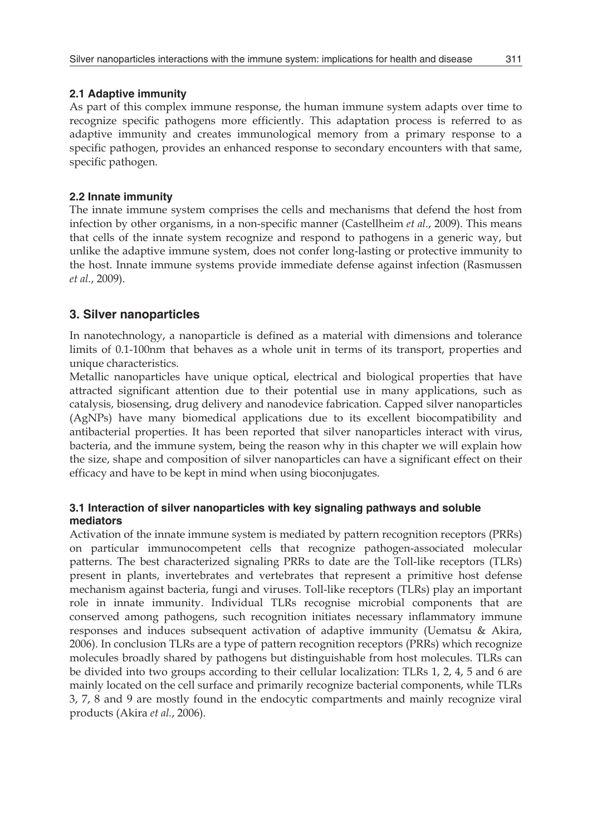# **2.1 Adaptive immunity**

As part of this complex immune response, the human immune system adapts over time to recognize specific pathogens more efficiently. This adaptation process is referred to as adaptive immunity and creates immunological memory from a primary response to a specific pathogen, provides an enhanced response to secondary encounters with that same, specific pathogen.

# **2.2 Innate immunity**

The innate immune system comprises the cells and mechanisms that defend the host from infection by other organisms, in a non-specific manner (Castellheim *et al.*, 2009). This means that cells of the innate system recognize and respond to pathogens in a generic way, but unlike the adaptive immune system, does not confer long-lasting or protective immunity to the host. Innate immune systems provide immediate defense against infection (Rasmussen *et al.*, 2009).

# **3. Silver nanoparticles**

In nanotechnology, a nanoparticle is defined as a material with dimensions and tolerance limits of 0.1-100nm that behaves as a whole unit in terms of its transport, properties and unique characteristics.

Metallic nanoparticles have unique optical, electrical and biological properties that have attracted significant attention due to their potential use in many applications, such as catalysis, biosensing, drug delivery and nanodevice fabrication. Capped silver nanoparticles (AgNPs) have many biomedical applications due to its excellent biocompatibility and antibacterial properties. It has been reported that silver nanoparticles interact with virus, bacteria, and the immune system, being the reason why in this chapter we will explain how the size, shape and composition of silver nanoparticles can have a significant effect on their efficacy and have to be kept in mind when using bioconjugates.

## **3.1 Interaction of silver nanoparticles with key signaling pathways and soluble mediators**

Activation of the innate immune system is mediated by pattern recognition receptors (PRRs) on particular immunocompetent cells that recognize pathogen-associated molecular patterns. The best characterized signaling PRRs to date are the Toll-like receptors (TLRs) present in plants, invertebrates and vertebrates that represent a primitive host defense mechanism against bacteria, fungi and viruses. Toll-like receptors (TLRs) play an important role in innate immunity. Individual TLRs recognise microbial components that are conserved among pathogens, such recognition initiates necessary inflammatory immune responses and induces subsequent activation of adaptive immunity (Uematsu & Akira, 2006). In conclusion TLRs are a type of pattern recognition receptors (PRRs) which recognize molecules broadly shared by pathogens but distinguishable from host molecules. TLRs can be divided into two groups according to their cellular localization: TLRs 1, 2, 4, 5 and 6 are mainly located on the cell surface and primarily recognize bacterial components, while TLRs 3, 7, 8 and 9 are mostly found in the endocytic compartments and mainly recognize viral products (Akira *et al.*, 2006).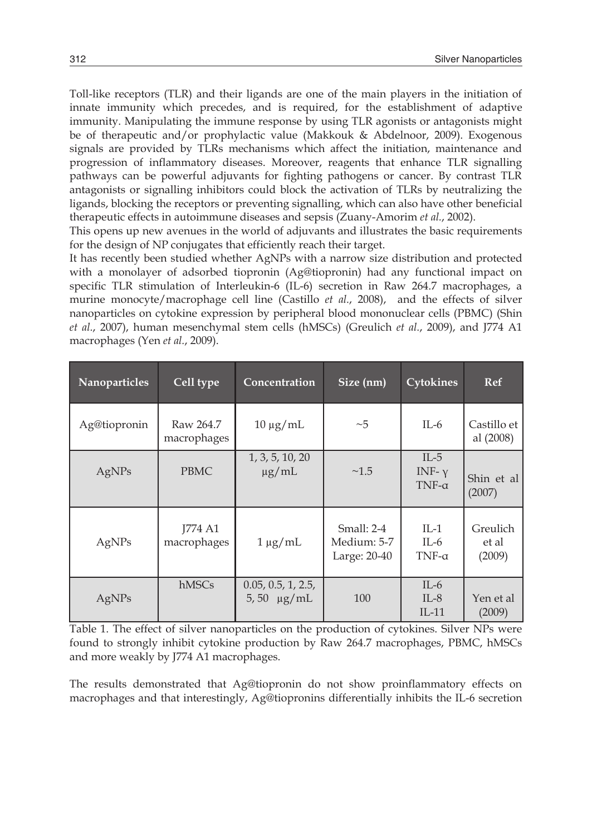Toll-like receptors (TLR) and their ligands are one of the main players in the initiation of innate immunity which precedes, and is required, for the establishment of adaptive immunity. Manipulating the immune response by using TLR agonists or antagonists might be of therapeutic and/or prophylactic value (Makkouk & Abdelnoor, 2009). Exogenous signals are provided by TLRs mechanisms which affect the initiation, maintenance and progression of inflammatory diseases. Moreover, reagents that enhance TLR signalling pathways can be powerful adjuvants for fighting pathogens or cancer. By contrast TLR antagonists or signalling inhibitors could block the activation of TLRs by neutralizing the ligands, blocking the receptors or preventing signalling, which can also have other beneficial therapeutic effects in autoimmune diseases and sepsis (Zuany-Amorim *et al.*, 2002).

This opens up new avenues in the world of adjuvants and illustrates the basic requirements for the design of NP conjugates that efficiently reach their target.

It has recently been studied whether AgNPs with a narrow size distribution and protected with a monolayer of adsorbed tiopronin (Ag@tiopronin) had any functional impact on specific TLR stimulation of Interleukin-6 (IL-6) secretion in Raw 264.7 macrophages, a murine monocyte/macrophage cell line (Castillo *et al.*, 2008), and the effects of silver nanoparticles on cytokine expression by peripheral blood mononuclear cells (PBMC) (Shin *et al.*, 2007), human mesenchymal stem cells (hMSCs) (Greulich *et al.*, 2009), and J774 A1 macrophages (Yen *et al.*, 2009).

| Nanoparticles | Cell type                     | Concentration                            | Size (nm)                                 | Cytokines                               | <b>Ref</b>                  |
|---------------|-------------------------------|------------------------------------------|-------------------------------------------|-----------------------------------------|-----------------------------|
| Ag@tiopronin  | Raw 264.7<br>macrophages      | $10 \mu g/mL$                            | ~1                                        | IL-6                                    | Castillo et<br>al (2008)    |
| AgNPs         | <b>PBMC</b>                   | 1, 3, 5, 10, 20<br>$\mu$ g/mL            | ~1.5                                      | $IL-5$<br>INF- $\gamma$<br>$TNF-\alpha$ | Shin et al<br>(2007)        |
| AgNPs         | <b>J774 A1</b><br>macrophages | $1 \mu g/mL$                             | Small: 2-4<br>Medium: 5-7<br>Large: 20-40 | $II - 1$<br>$II - 6$<br>$TNF-\alpha$    | Greulich<br>et al<br>(2009) |
| AgNPs         | hMSCs                         | 0.05, 0.5, 1, 2.5,<br>$5, 50 \ \mu g/mL$ | 100                                       | $IL-6$<br>$IL-8$<br>$IL-11$             | Yen et al<br>(2009)         |

Table 1. The effect of silver nanoparticles on the production of cytokines. Silver NPs were found to strongly inhibit cytokine production by Raw 264.7 macrophages, PBMC, hMSCs and more weakly by J774 A1 macrophages.

The results demonstrated that Ag@tiopronin do not show proinflammatory effects on macrophages and that interestingly, Ag@tiopronins differentially inhibits the IL-6 secretion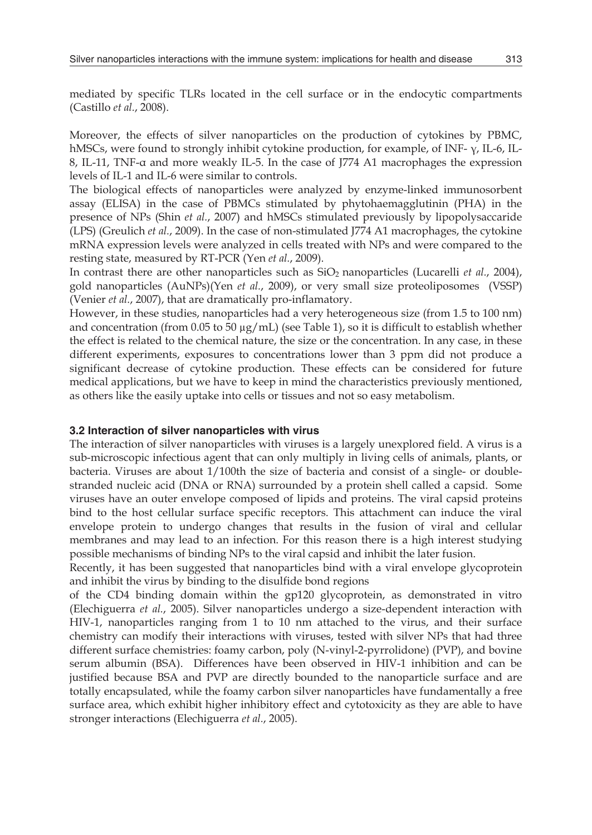mediated by specific TLRs located in the cell surface or in the endocytic compartments (Castillo *et al.*, 2008).

Moreover, the effects of silver nanoparticles on the production of cytokines by PBMC, hMSCs, were found to strongly inhibit cytokine production, for example, of INF- γ, IL-6, IL-8, IL-11, TNF-α and more weakly IL-5. In the case of J774 A1 macrophages the expression levels of IL-1 and IL-6 were similar to controls.

The biological effects of nanoparticles were analyzed by enzyme-linked immunosorbent assay (ELISA) in the case of PBMCs stimulated by phytohaemagglutinin (PHA) in the presence of NPs (Shin *et al.*, 2007) and hMSCs stimulated previously by lipopolysaccaride (LPS) (Greulich *et al.*, 2009). In the case of non-stimulated J774 A1 macrophages, the cytokine mRNA expression levels were analyzed in cells treated with NPs and were compared to the resting state, measured by RT-PCR (Yen *et al.*, 2009).

In contrast there are other nanoparticles such as  $SiO<sub>2</sub>$  nanoparticles (Lucarelli *et al.*, 2004), gold nanoparticles (AuNPs)(Yen *et al.*, 2009), or very small size proteoliposomes (VSSP) (Venier *et al.*, 2007), that are dramatically pro-inflamatory.

However, in these studies, nanoparticles had a very heterogeneous size (from 1.5 to 100 nm) and concentration (from 0.05 to 50  $\mu$ g/mL) (see Table 1), so it is difficult to establish whether the effect is related to the chemical nature, the size or the concentration. In any case, in these different experiments, exposures to concentrations lower than 3 ppm did not produce a significant decrease of cytokine production. These effects can be considered for future medical applications, but we have to keep in mind the characteristics previously mentioned, as others like the easily uptake into cells or tissues and not so easy metabolism.

#### **3.2 Interaction of silver nanoparticles with virus**

The interaction of silver nanoparticles with viruses is a largely unexplored field. A virus is a sub-microscopic infectious agent that can only multiply in living cells of animals, plants, or bacteria. Viruses are about 1/100th the size of bacteria and consist of a single- or doublestranded nucleic acid (DNA or RNA) surrounded by a protein shell called a capsid. Some viruses have an outer envelope composed of lipids and proteins. The viral capsid proteins bind to the host cellular surface specific receptors. This attachment can induce the viral envelope protein to undergo changes that results in the fusion of viral and cellular membranes and may lead to an infection. For this reason there is a high interest studying possible mechanisms of binding NPs to the viral capsid and inhibit the later fusion.

Recently, it has been suggested that nanoparticles bind with a viral envelope glycoprotein and inhibit the virus by binding to the disulfide bond regions

of the CD4 binding domain within the gp120 glycoprotein, as demonstrated in vitro (Elechiguerra *et al.*, 2005). Silver nanoparticles undergo a size-dependent interaction with HIV-1, nanoparticles ranging from 1 to 10 nm attached to the virus, and their surface chemistry can modify their interactions with viruses, tested with silver NPs that had three different surface chemistries: foamy carbon, poly (N-vinyl-2-pyrrolidone) (PVP), and bovine serum albumin (BSA). Differences have been observed in HIV-1 inhibition and can be justified because BSA and PVP are directly bounded to the nanoparticle surface and are totally encapsulated, while the foamy carbon silver nanoparticles have fundamentally a free surface area, which exhibit higher inhibitory effect and cytotoxicity as they are able to have stronger interactions (Elechiguerra *et al.*, 2005).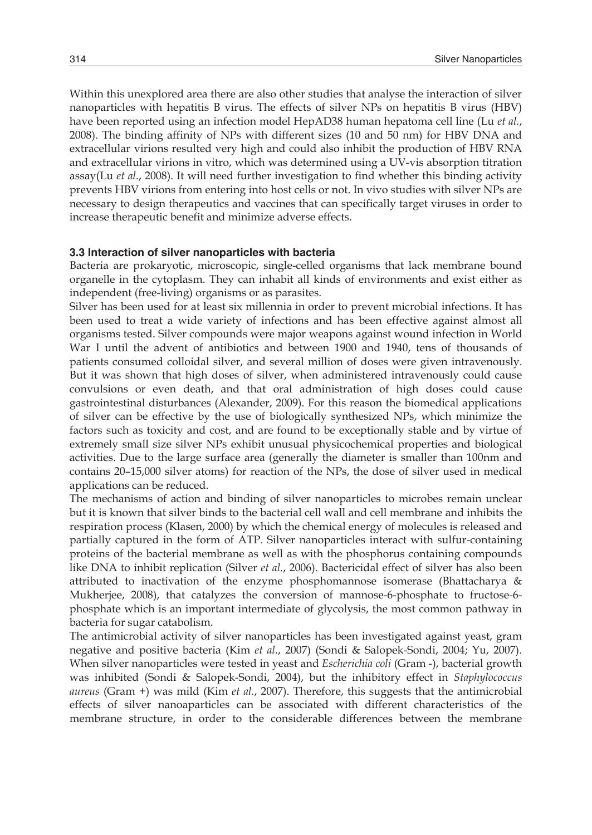Within this unexplored area there are also other studies that analyse the interaction of silver nanoparticles with hepatitis B virus. The effects of silver NPs on hepatitis B virus (HBV) have been reported using an infection model HepAD38 human hepatoma cell line (Lu *et al.*, 2008). The binding affinity of NPs with different sizes (10 and 50 nm) for HBV DNA and extracellular virions resulted very high and could also inhibit the production of HBV RNA and extracellular virions in vitro, which was determined using a UV-vis absorption titration assay(Lu *et al.*, 2008). It will need further investigation to find whether this binding activity prevents HBV virions from entering into host cells or not. In vivo studies with silver NPs are necessary to design therapeutics and vaccines that can specifically target viruses in order to increase therapeutic benefit and minimize adverse effects.

#### **3.3 Interaction of silver nanoparticles with bacteria**

Bacteria are prokaryotic, microscopic, single-celled organisms that lack membrane bound organelle in the cytoplasm. They can inhabit all kinds of environments and exist either as independent (free-living) organisms or as parasites.

Silver has been used for at least six millennia in order to prevent microbial infections. It has been used to treat a wide variety of infections and has been effective against almost all organisms tested. Silver compounds were major weapons against wound infection in World War I until the advent of antibiotics and between 1900 and 1940, tens of thousands of patients consumed colloidal silver, and several million of doses were given intravenously. But it was shown that high doses of silver, when administered intravenously could cause convulsions or even death, and that oral administration of high doses could cause gastrointestinal disturbances (Alexander, 2009). For this reason the biomedical applications of silver can be effective by the use of biologically synthesized NPs, which minimize the factors such as toxicity and cost, and are found to be exceptionally stable and by virtue of extremely small size silver NPs exhibit unusual physicochemical properties and biological activities. Due to the large surface area (generally the diameter is smaller than 100nm and contains 20–15,000 silver atoms) for reaction of the NPs, the dose of silver used in medical applications can be reduced.

The mechanisms of action and binding of silver nanoparticles to microbes remain unclear but it is known that silver binds to the bacterial cell wall and cell membrane and inhibits the respiration process (Klasen, 2000) by which the chemical energy of molecules is released and partially captured in the form of ATP. Silver nanoparticles interact with sulfur-containing proteins of the bacterial membrane as well as with the phosphorus containing compounds like DNA to inhibit replication (Silver *et al.*, 2006). Bactericidal effect of silver has also been attributed to inactivation of the enzyme phosphomannose isomerase (Bhattacharya & Mukherjee, 2008), that catalyzes the conversion of mannose-6-phosphate to fructose-6 phosphate which is an important intermediate of glycolysis, the most common pathway in bacteria for sugar catabolism.

The antimicrobial activity of silver nanoparticles has been investigated against yeast, gram negative and positive bacteria (Kim *et al.*, 2007) (Sondi & Salopek-Sondi, 2004; Yu, 2007). When silver nanoparticles were tested in yeast and *Escherichia coli* (Gram -), bacterial growth was inhibited (Sondi & Salopek-Sondi, 2004), but the inhibitory effect in *Staphylococcus aureus* (Gram +) was mild (Kim *et al.*, 2007). Therefore, this suggests that the antimicrobial effects of silver nanoaparticles can be associated with different characteristics of the membrane structure, in order to the considerable differences between the membrane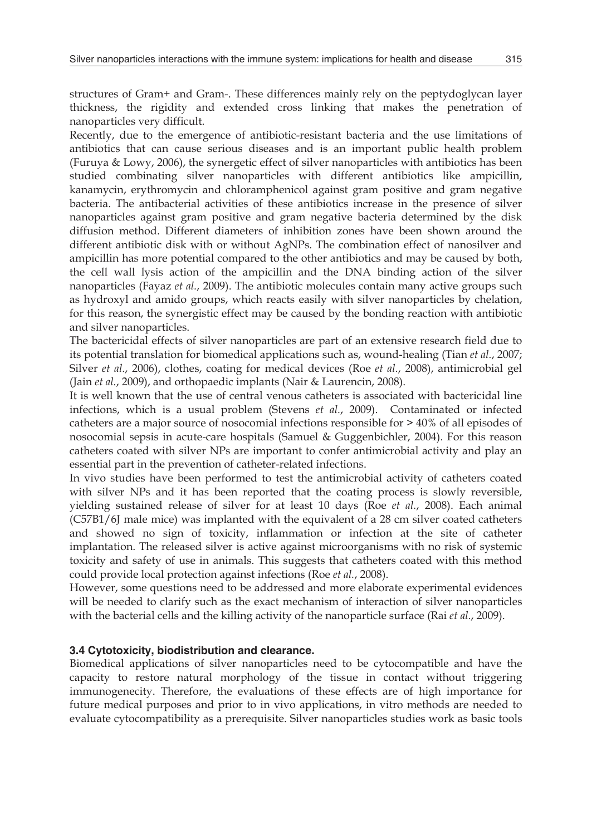structures of Gram+ and Gram-. These differences mainly rely on the peptydoglycan layer thickness, the rigidity and extended cross linking that makes the penetration of nanoparticles very difficult.

Recently, due to the emergence of antibiotic-resistant bacteria and the use limitations of antibiotics that can cause serious diseases and is an important public health problem (Furuya & Lowy, 2006), the synergetic effect of silver nanoparticles with antibiotics has been studied combinating silver nanoparticles with different antibiotics like ampicillin, kanamycin, erythromycin and chloramphenicol against gram positive and gram negative bacteria. The antibacterial activities of these antibiotics increase in the presence of silver nanoparticles against gram positive and gram negative bacteria determined by the disk diffusion method. Different diameters of inhibition zones have been shown around the different antibiotic disk with or without AgNPs. The combination effect of nanosilver and ampicillin has more potential compared to the other antibiotics and may be caused by both, the cell wall lysis action of the ampicillin and the DNA binding action of the silver nanoparticles (Fayaz *et al.*, 2009). The antibiotic molecules contain many active groups such as hydroxyl and amido groups, which reacts easily with silver nanoparticles by chelation, for this reason, the synergistic effect may be caused by the bonding reaction with antibiotic and silver nanoparticles.

The bactericidal effects of silver nanoparticles are part of an extensive research field due to its potential translation for biomedical applications such as, wound-healing (Tian *et al.*, 2007; Silver *et al.*, 2006), clothes, coating for medical devices (Roe *et al.*, 2008), antimicrobial gel (Jain *et al.*, 2009), and orthopaedic implants (Nair & Laurencin, 2008).

It is well known that the use of central venous catheters is associated with bactericidal line infections, which is a usual problem (Stevens *et al.*, 2009). Contaminated or infected catheters are a major source of nosocomial infections responsible for > 40% of all episodes of nosocomial sepsis in acute-care hospitals (Samuel & Guggenbichler, 2004). For this reason catheters coated with silver NPs are important to confer antimicrobial activity and play an essential part in the prevention of catheter-related infections.

In vivo studies have been performed to test the antimicrobial activity of catheters coated with silver NPs and it has been reported that the coating process is slowly reversible, yielding sustained release of silver for at least 10 days (Roe *et al.*, 2008). Each animal (C57B1/6J male mice) was implanted with the equivalent of a 28 cm silver coated catheters and showed no sign of toxicity, inflammation or infection at the site of catheter implantation. The released silver is active against microorganisms with no risk of systemic toxicity and safety of use in animals. This suggests that catheters coated with this method could provide local protection against infections (Roe *et al.*, 2008).

However, some questions need to be addressed and more elaborate experimental evidences will be needed to clarify such as the exact mechanism of interaction of silver nanoparticles with the bacterial cells and the killing activity of the nanoparticle surface (Rai *et al.*, 2009).

## **3.4 Cytotoxicity, biodistribution and clearance.**

Biomedical applications of silver nanoparticles need to be cytocompatible and have the capacity to restore natural morphology of the tissue in contact without triggering immunogenecity. Therefore, the evaluations of these effects are of high importance for future medical purposes and prior to in vivo applications, in vitro methods are needed to evaluate cytocompatibility as a prerequisite. Silver nanoparticles studies work as basic tools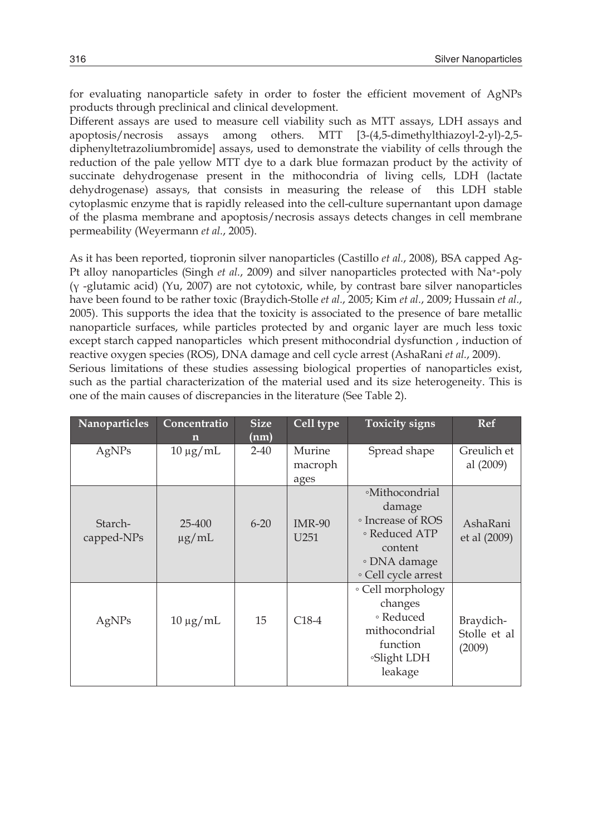for evaluating nanoparticle safety in order to foster the efficient movement of AgNPs products through preclinical and clinical development.

Different assays are used to measure cell viability such as MTT assays, LDH assays and apoptosis/necrosis assays among others. MTT [3-(4,5-dimethylthiazoyl-2-yl)-2,5 diphenyltetrazoliumbromide] assays, used to demonstrate the viability of cells through the reduction of the pale yellow MTT dye to a dark blue formazan product by the activity of succinate dehydrogenase present in the mithocondria of living cells, LDH (lactate dehydrogenase) assays, that consists in measuring the release of this LDH stable cytoplasmic enzyme that is rapidly released into the cell-culture supernantant upon damage of the plasma membrane and apoptosis/necrosis assays detects changes in cell membrane permeability (Weyermann *et al.*, 2005).

As it has been reported, tiopronin silver nanoparticles (Castillo *et al.*, 2008), BSA capped Ag-Pt alloy nanoparticles (Singh *et al.*, 2009) and silver nanoparticles protected with Na+-poly (γ -glutamic acid) (Yu, 2007) are not cytotoxic, while, by contrast bare silver nanoparticles have been found to be rather toxic (Braydich-Stolle *et al.*, 2005; Kim *et al.*, 2009; Hussain *et al.*, 2005). This supports the idea that the toxicity is associated to the presence of bare metallic nanoparticle surfaces, while particles protected by and organic layer are much less toxic except starch capped nanoparticles which present mithocondrial dysfunction , induction of reactive oxygen species (ROS), DNA damage and cell cycle arrest (AshaRani *et al.*, 2009). Serious limitations of these studies assessing biological properties of nanoparticles exist, such as the partial characterization of the material used and its size heterogeneity. This is

one of the main causes of discrepancies in the literature (See Table 2).

| Nanoparticles         | Concentratio<br>n    | <b>Size</b><br>(nm) | Cell type                    | <b>Toxicity signs</b>                                                                                            | <b>Ref</b>                          |
|-----------------------|----------------------|---------------------|------------------------------|------------------------------------------------------------------------------------------------------------------|-------------------------------------|
| AgNPs                 | $10 \mu g/mL$        | $2 - 40$            | Murine<br>macroph<br>ages    | Spread shape                                                                                                     | Greulich et<br>al (2009)            |
| Starch-<br>capped-NPs | 25-400<br>$\mu$ g/mL | $6 - 20$            | $IMR-90$<br>U <sub>251</sub> | •Mithocondrial<br>damage<br>• Increase of ROS<br>∘ Reduced ATP<br>content<br>∘ DNA damage<br>• Cell cycle arrest | AshaRani<br>et al (2009)            |
| AgNPs                 | $10 \mu g/mL$        | 15                  | $C18-4$                      | • Cell morphology<br>changes<br>∘ Reduced<br>mithocondrial<br>function<br>∘Slight LDH<br>leakage                 | Braydich-<br>Stolle et al<br>(2009) |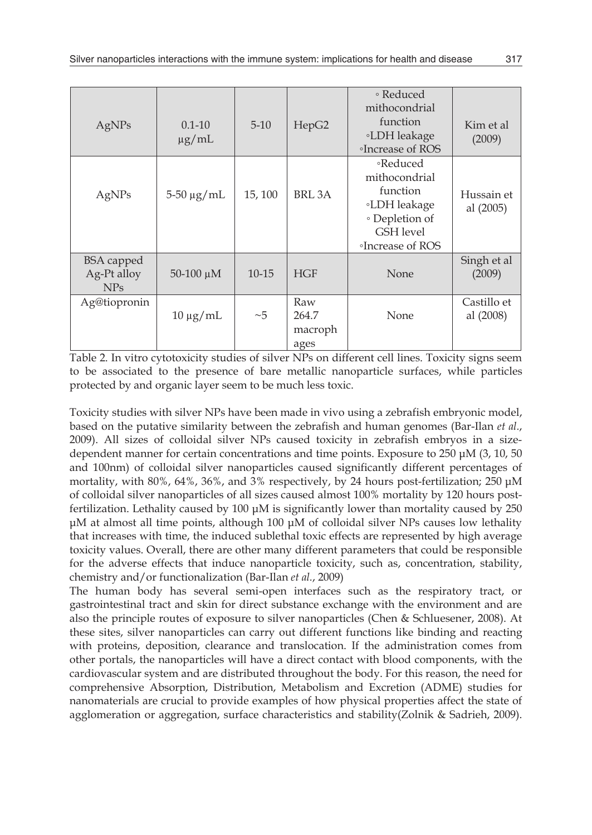| AgNPs                                          | $0.1 - 10$<br>$\mu$ g/mL | $5 - 10$  | HepG2                           | ∘ Reduced<br>mithocondrial<br>function<br>∘LDH leakage<br>•Increase of ROS                                                  | Kim et al<br>(2009)      |
|------------------------------------------------|--------------------------|-----------|---------------------------------|-----------------------------------------------------------------------------------------------------------------------------|--------------------------|
| AgNPs                                          | $5-50 \mu g/mL$          | 15, 100   | BRL 3A                          | ∘Reduced<br>mithocondrial<br>function<br>∘LDH leakage<br>· Depletion of<br><b>GSH</b> level<br><sup>o</sup> Increase of ROS | Hussain et<br>al (2005)  |
| <b>BSA</b> capped<br>Ag-Pt alloy<br><b>NPs</b> | $50-100 \mu M$           | $10 - 15$ | <b>HGF</b>                      | None                                                                                                                        | Singh et al<br>(2009)    |
| Ag@tiopronin                                   | $10 \mu g/mL$            | $\sim$ 5  | Raw<br>264.7<br>macroph<br>ages | None                                                                                                                        | Castillo et<br>al (2008) |

Table 2. In vitro cytotoxicity studies of silver NPs on different cell lines. Toxicity signs seem to be associated to the presence of bare metallic nanoparticle surfaces, while particles protected by and organic layer seem to be much less toxic.

Toxicity studies with silver NPs have been made in vivo using a zebrafish embryonic model, based on the putative similarity between the zebrafish and human genomes (Bar-Ilan *et al.*, 2009). All sizes of colloidal silver NPs caused toxicity in zebrafish embryos in a sizedependent manner for certain concentrations and time points. Exposure to 250 μM (3, 10, 50 and 100nm) of colloidal silver nanoparticles caused significantly different percentages of mortality, with 80%, 64%, 36%, and 3% respectively, by 24 hours post-fertilization; 250 μM of colloidal silver nanoparticles of all sizes caused almost 100% mortality by 120 hours postfertilization. Lethality caused by 100 μM is significantly lower than mortality caused by 250 μM at almost all time points, although 100 μM of colloidal silver NPs causes low lethality that increases with time, the induced sublethal toxic effects are represented by high average toxicity values. Overall, there are other many different parameters that could be responsible for the adverse effects that induce nanoparticle toxicity, such as, concentration, stability, chemistry and/or functionalization (Bar-Ilan *et al.*, 2009)

The human body has several semi-open interfaces such as the respiratory tract, or gastrointestinal tract and skin for direct substance exchange with the environment and are also the principle routes of exposure to silver nanoparticles (Chen & Schluesener, 2008). At these sites, silver nanoparticles can carry out different functions like binding and reacting with proteins, deposition, clearance and translocation. If the administration comes from other portals, the nanoparticles will have a direct contact with blood components, with the cardiovascular system and are distributed throughout the body. For this reason, the need for comprehensive Absorption, Distribution, Metabolism and Excretion (ADME) studies for nanomaterials are crucial to provide examples of how physical properties affect the state of agglomeration or aggregation, surface characteristics and stability(Zolnik & Sadrieh, 2009).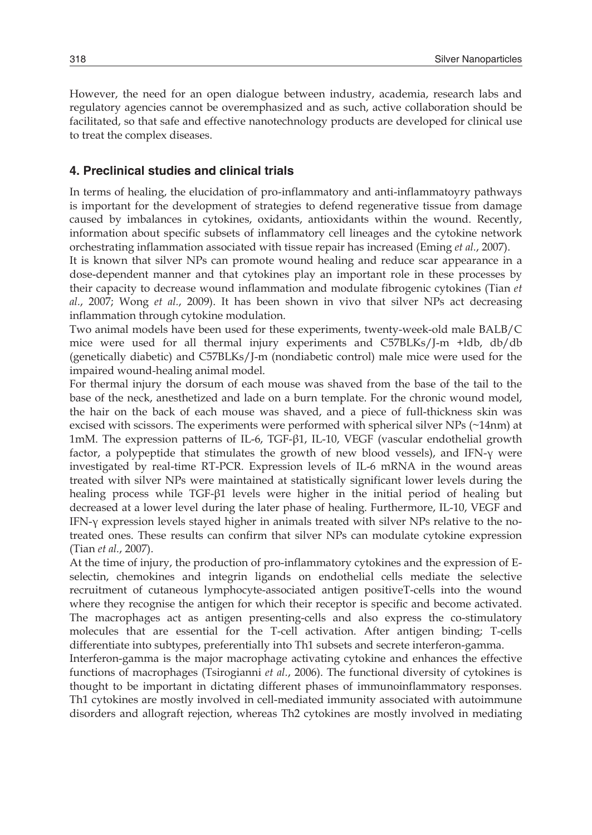However, the need for an open dialogue between industry, academia, research labs and regulatory agencies cannot be overemphasized and as such, active collaboration should be facilitated, so that safe and effective nanotechnology products are developed for clinical use to treat the complex diseases.

## **4. Preclinical studies and clinical trials**

In terms of healing, the elucidation of pro-inflammatory and anti-inflammatoyry pathways is important for the development of strategies to defend regenerative tissue from damage caused by imbalances in cytokines, oxidants, antioxidants within the wound. Recently, information about specific subsets of inflammatory cell lineages and the cytokine network orchestrating inflammation associated with tissue repair has increased (Eming *et al.*, 2007).

It is known that silver NPs can promote wound healing and reduce scar appearance in a dose-dependent manner and that cytokines play an important role in these processes by their capacity to decrease wound inflammation and modulate fibrogenic cytokines (Tian *et al.*, 2007; Wong *et al.*, 2009). It has been shown in vivo that silver NPs act decreasing inflammation through cytokine modulation.

Two animal models have been used for these experiments, twenty-week-old male BALB/C mice were used for all thermal injury experiments and C57BLKs/J-m +ldb, db/db (genetically diabetic) and C57BLKs/J-m (nondiabetic control) male mice were used for the impaired wound-healing animal model.

For thermal injury the dorsum of each mouse was shaved from the base of the tail to the base of the neck, anesthetized and lade on a burn template. For the chronic wound model, the hair on the back of each mouse was shaved, and a piece of full-thickness skin was excised with scissors. The experiments were performed with spherical silver NPs (~14nm) at 1mM. The expression patterns of IL-6, TGF-β1, IL-10, VEGF (vascular endothelial growth factor, a polypeptide that stimulates the growth of new blood vessels), and IFN-γ were investigated by real-time RT-PCR. Expression levels of IL-6 mRNA in the wound areas treated with silver NPs were maintained at statistically significant lower levels during the healing process while TGF-β1 levels were higher in the initial period of healing but decreased at a lower level during the later phase of healing. Furthermore, IL-10, VEGF and IFN-γ expression levels stayed higher in animals treated with silver NPs relative to the notreated ones. These results can confirm that silver NPs can modulate cytokine expression (Tian *et al.*, 2007).

At the time of injury, the production of pro-inflammatory cytokines and the expression of Eselectin, chemokines and integrin ligands on endothelial cells mediate the selective recruitment of cutaneous lymphocyte-associated antigen positiveT-cells into the wound where they recognise the antigen for which their receptor is specific and become activated. The macrophages act as antigen presenting-cells and also express the co-stimulatory molecules that are essential for the T-cell activation. After antigen binding; T-cells differentiate into subtypes, preferentially into Th1 subsets and secrete interferon-gamma.

Interferon-gamma is the major macrophage activating cytokine and enhances the effective functions of macrophages (Tsirogianni *et al.*, 2006). The functional diversity of cytokines is thought to be important in dictating different phases of immunoinflammatory responses. Th1 cytokines are mostly involved in cell-mediated immunity associated with autoimmune disorders and allograft rejection, whereas Th2 cytokines are mostly involved in mediating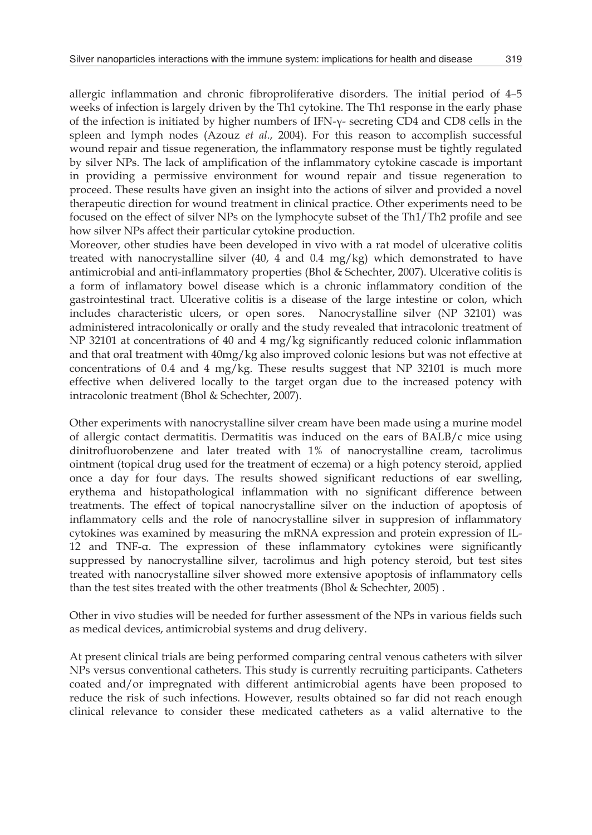allergic inflammation and chronic fibroproliferative disorders. The initial period of 4–5 weeks of infection is largely driven by the Th1 cytokine. The Th1 response in the early phase of the infection is initiated by higher numbers of IFN-γ- secreting CD4 and CD8 cells in the spleen and lymph nodes (Azouz *et al.*, 2004). For this reason to accomplish successful wound repair and tissue regeneration, the inflammatory response must be tightly regulated by silver NPs. The lack of amplification of the inflammatory cytokine cascade is important in providing a permissive environment for wound repair and tissue regeneration to proceed. These results have given an insight into the actions of silver and provided a novel therapeutic direction for wound treatment in clinical practice. Other experiments need to be focused on the effect of silver NPs on the lymphocyte subset of the Th1/Th2 profile and see how silver NPs affect their particular cytokine production.

Moreover, other studies have been developed in vivo with a rat model of ulcerative colitis treated with nanocrystalline silver (40, 4 and 0.4 mg/kg) which demonstrated to have antimicrobial and anti-inflammatory properties (Bhol & Schechter, 2007). Ulcerative colitis is a form of inflamatory bowel disease which is a chronic inflammatory condition of the gastrointestinal tract. Ulcerative colitis is a disease of the large intestine or colon, which includes characteristic ulcers, or open sores. Nanocrystalline silver (NP 32101) was administered intracolonically or orally and the study revealed that intracolonic treatment of NP 32101 at concentrations of 40 and 4 mg/kg significantly reduced colonic inflammation and that oral treatment with 40mg/kg also improved colonic lesions but was not effective at concentrations of 0.4 and 4 mg/kg. These results suggest that NP 32101 is much more effective when delivered locally to the target organ due to the increased potency with intracolonic treatment (Bhol & Schechter, 2007).

Other experiments with nanocrystalline silver cream have been made using a murine model of allergic contact dermatitis. Dermatitis was induced on the ears of BALB/c mice using dinitrofluorobenzene and later treated with 1% of nanocrystalline cream, tacrolimus ointment (topical drug used for the treatment of eczema) or a high potency steroid, applied once a day for four days. The results showed significant reductions of ear swelling, erythema and histopathological inflammation with no significant difference between treatments. The effect of topical nanocrystalline silver on the induction of apoptosis of inflammatory cells and the role of nanocrystalline silver in suppresion of inflammatory cytokines was examined by measuring the mRNA expression and protein expression of IL-12 and TNF-α. The expression of these inflammatory cytokines were significantly suppressed by nanocrystalline silver, tacrolimus and high potency steroid, but test sites treated with nanocrystalline silver showed more extensive apoptosis of inflammatory cells than the test sites treated with the other treatments (Bhol & Schechter, 2005) .

Other in vivo studies will be needed for further assessment of the NPs in various fields such as medical devices, antimicrobial systems and drug delivery.

At present clinical trials are being performed comparing central venous catheters with silver NPs versus conventional catheters. This study is currently recruiting participants. Catheters coated and/or impregnated with different antimicrobial agents have been proposed to reduce the risk of such infections. However, results obtained so far did not reach enough clinical relevance to consider these medicated catheters as a valid alternative to the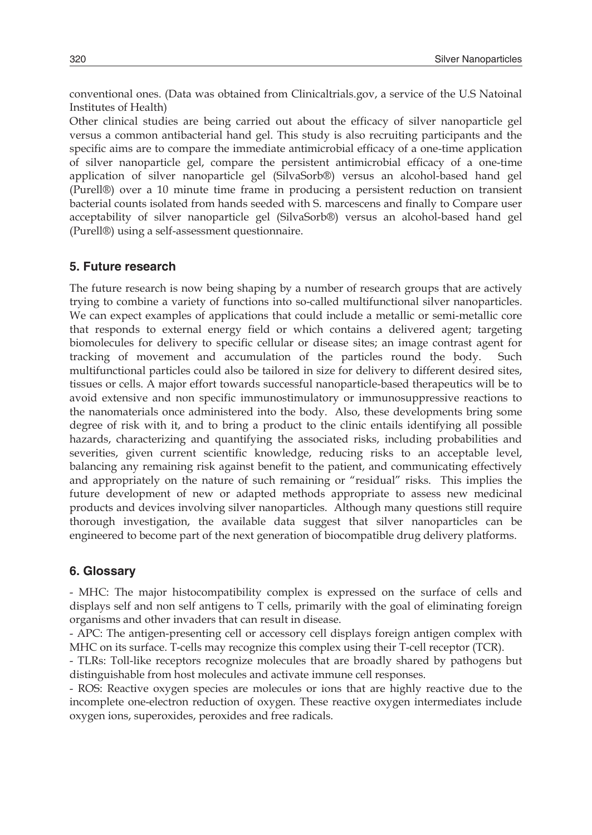conventional ones. (Data was obtained from Clinicaltrials.gov, a service of the U.S Natoinal Institutes of Health)

Other clinical studies are being carried out about the efficacy of silver nanoparticle gel versus a common antibacterial hand gel. This study is also recruiting participants and the specific aims are to compare the immediate antimicrobial efficacy of a one-time application of silver nanoparticle gel, compare the persistent antimicrobial efficacy of a one-time application of silver nanoparticle gel (SilvaSorb®) versus an alcohol-based hand gel (Purell®) over a 10 minute time frame in producing a persistent reduction on transient bacterial counts isolated from hands seeded with S. marcescens and finally to Compare user acceptability of silver nanoparticle gel (SilvaSorb®) versus an alcohol-based hand gel (Purell®) using a self-assessment questionnaire.

## **5. Future research**

The future research is now being shaping by a number of research groups that are actively trying to combine a variety of functions into so-called multifunctional silver nanoparticles. We can expect examples of applications that could include a metallic or semi-metallic core that responds to external energy field or which contains a delivered agent; targeting biomolecules for delivery to specific cellular or disease sites; an image contrast agent for tracking of movement and accumulation of the particles round the body. Such multifunctional particles could also be tailored in size for delivery to different desired sites, tissues or cells. A major effort towards successful nanoparticle-based therapeutics will be to avoid extensive and non specific immunostimulatory or immunosuppressive reactions to the nanomaterials once administered into the body. Also, these developments bring some degree of risk with it, and to bring a product to the clinic entails identifying all possible hazards, characterizing and quantifying the associated risks, including probabilities and severities, given current scientific knowledge, reducing risks to an acceptable level, balancing any remaining risk against benefit to the patient, and communicating effectively and appropriately on the nature of such remaining or "residual" risks. This implies the future development of new or adapted methods appropriate to assess new medicinal products and devices involving silver nanoparticles. Although many questions still require thorough investigation, the available data suggest that silver nanoparticles can be engineered to become part of the next generation of biocompatible drug delivery platforms.

## **6. Glossary**

- MHC: The major histocompatibility complex is expressed on the surface of cells and displays self and non self antigens to T cells, primarily with the goal of eliminating foreign organisms and other invaders that can result in disease.

- APC: The antigen-presenting cell or accessory cell displays foreign antigen complex with MHC on its surface. T-cells may recognize this complex using their T-cell receptor (TCR).

- TLRs: Toll-like receptors recognize molecules that are broadly shared by pathogens but distinguishable from host molecules and activate immune cell responses.

- ROS: Reactive oxygen species are molecules or ions that are highly reactive due to the incomplete one-electron reduction of oxygen. These reactive oxygen intermediates include oxygen ions, superoxides, peroxides and free radicals.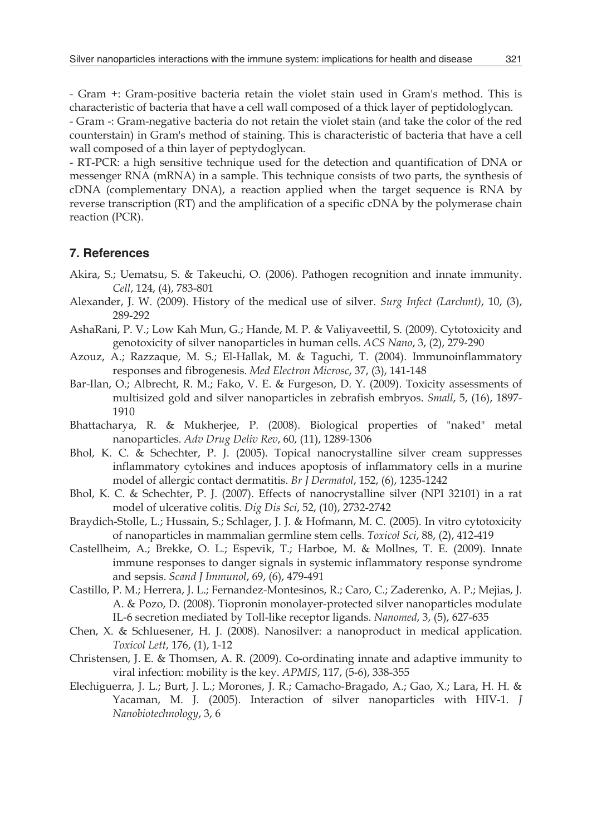- Gram +: Gram-positive bacteria retain the violet stain used in Gram's method. This is characteristic of bacteria that have a cell wall composed of a thick layer of peptidologlycan.

- Gram -: Gram-negative bacteria do not retain the violet stain (and take the color of the red counterstain) in Gram's method of staining. This is characteristic of bacteria that have a cell wall composed of a thin layer of peptydoglycan.

- RT-PCR: a high sensitive technique used for the detection and quantification of DNA or messenger RNA (mRNA) in a sample. This technique consists of two parts, the synthesis of cDNA (complementary DNA), a reaction applied when the target sequence is RNA by reverse transcription (RT) and the amplification of a specific cDNA by the polymerase chain reaction (PCR).

## **7. References**

- Akira, S.; Uematsu, S. & Takeuchi, O. (2006). Pathogen recognition and innate immunity. *Cell*, 124, (4), 783-801
- Alexander, J. W. (2009). History of the medical use of silver. *Surg Infect (Larchmt)*, 10, (3), 289-292
- AshaRani, P. V.; Low Kah Mun, G.; Hande, M. P. & Valiyaveettil, S. (2009). Cytotoxicity and genotoxicity of silver nanoparticles in human cells. *ACS Nano*, 3, (2), 279-290
- Azouz, A.; Razzaque, M. S.; El-Hallak, M. & Taguchi, T. (2004). Immunoinflammatory responses and fibrogenesis. *Med Electron Microsc*, 37, (3), 141-148
- Bar-Ilan, O.; Albrecht, R. M.; Fako, V. E. & Furgeson, D. Y. (2009). Toxicity assessments of multisized gold and silver nanoparticles in zebrafish embryos. *Small*, 5, (16), 1897- 1910
- Bhattacharya, R. & Mukherjee, P. (2008). Biological properties of "naked" metal nanoparticles. *Adv Drug Deliv Rev*, 60, (11), 1289-1306
- Bhol, K. C. & Schechter, P. J. (2005). Topical nanocrystalline silver cream suppresses inflammatory cytokines and induces apoptosis of inflammatory cells in a murine model of allergic contact dermatitis. *Br J Dermatol*, 152, (6), 1235-1242
- Bhol, K. C. & Schechter, P. J. (2007). Effects of nanocrystalline silver (NPI 32101) in a rat model of ulcerative colitis. *Dig Dis Sci*, 52, (10), 2732-2742
- Braydich-Stolle, L.; Hussain, S.; Schlager, J. J. & Hofmann, M. C. (2005). In vitro cytotoxicity of nanoparticles in mammalian germline stem cells. *Toxicol Sci*, 88, (2), 412-419
- Castellheim, A.; Brekke, O. L.; Espevik, T.; Harboe, M. & Mollnes, T. E. (2009). Innate immune responses to danger signals in systemic inflammatory response syndrome and sepsis. *Scand J Immunol*, 69, (6), 479-491
- Castillo, P. M.; Herrera, J. L.; Fernandez-Montesinos, R.; Caro, C.; Zaderenko, A. P.; Mejias, J. A. & Pozo, D. (2008). Tiopronin monolayer-protected silver nanoparticles modulate IL-6 secretion mediated by Toll-like receptor ligands. *Nanomed*, 3, (5), 627-635
- Chen, X. & Schluesener, H. J. (2008). Nanosilver: a nanoproduct in medical application. *Toxicol Lett*, 176, (1), 1-12
- Christensen, J. E. & Thomsen, A. R. (2009). Co-ordinating innate and adaptive immunity to viral infection: mobility is the key. *APMIS*, 117, (5-6), 338-355
- Elechiguerra, J. L.; Burt, J. L.; Morones, J. R.; Camacho-Bragado, A.; Gao, X.; Lara, H. H. & Yacaman, M. J. (2005). Interaction of silver nanoparticles with HIV-1. *J Nanobiotechnology*, 3, 6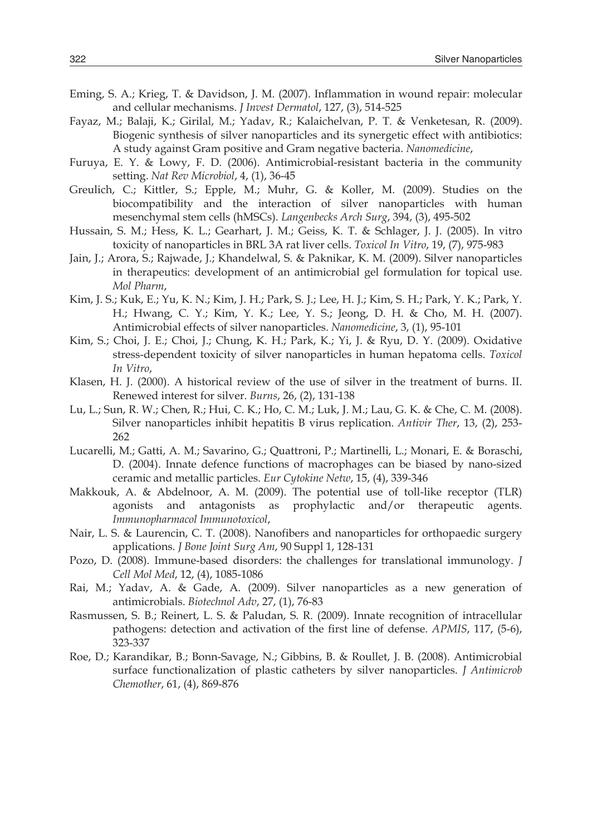- Eming, S. A.; Krieg, T. & Davidson, J. M. (2007). Inflammation in wound repair: molecular and cellular mechanisms. *J Invest Dermatol*, 127, (3), 514-525
- Fayaz, M.; Balaji, K.; Girilal, M.; Yadav, R.; Kalaichelvan, P. T. & Venketesan, R. (2009). Biogenic synthesis of silver nanoparticles and its synergetic effect with antibiotics: A study against Gram positive and Gram negative bacteria. *Nanomedicine*,
- Furuya, E. Y. & Lowy, F. D. (2006). Antimicrobial-resistant bacteria in the community setting. *Nat Rev Microbiol*, 4, (1), 36-45
- Greulich, C.; Kittler, S.; Epple, M.; Muhr, G. & Koller, M. (2009). Studies on the biocompatibility and the interaction of silver nanoparticles with human mesenchymal stem cells (hMSCs). *Langenbecks Arch Surg*, 394, (3), 495-502
- Hussain, S. M.; Hess, K. L.; Gearhart, J. M.; Geiss, K. T. & Schlager, J. J. (2005). In vitro toxicity of nanoparticles in BRL 3A rat liver cells. *Toxicol In Vitro*, 19, (7), 975-983
- Jain, J.; Arora, S.; Rajwade, J.; Khandelwal, S. & Paknikar, K. M. (2009). Silver nanoparticles in therapeutics: development of an antimicrobial gel formulation for topical use. *Mol Pharm*,
- Kim, J. S.; Kuk, E.; Yu, K. N.; Kim, J. H.; Park, S. J.; Lee, H. J.; Kim, S. H.; Park, Y. K.; Park, Y. H.; Hwang, C. Y.; Kim, Y. K.; Lee, Y. S.; Jeong, D. H. & Cho, M. H. (2007). Antimicrobial effects of silver nanoparticles. *Nanomedicine*, 3, (1), 95-101
- Kim, S.; Choi, J. E.; Choi, J.; Chung, K. H.; Park, K.; Yi, J. & Ryu, D. Y. (2009). Oxidative stress-dependent toxicity of silver nanoparticles in human hepatoma cells. *Toxicol In Vitro*,
- Klasen, H. J. (2000). A historical review of the use of silver in the treatment of burns. II. Renewed interest for silver. *Burns*, 26, (2), 131-138
- Lu, L.; Sun, R. W.; Chen, R.; Hui, C. K.; Ho, C. M.; Luk, J. M.; Lau, G. K. & Che, C. M. (2008). Silver nanoparticles inhibit hepatitis B virus replication. *Antivir Ther*, 13, (2), 253- 262
- Lucarelli, M.; Gatti, A. M.; Savarino, G.; Quattroni, P.; Martinelli, L.; Monari, E. & Boraschi, D. (2004). Innate defence functions of macrophages can be biased by nano-sized ceramic and metallic particles. *Eur Cytokine Netw*, 15, (4), 339-346
- Makkouk, A. & Abdelnoor, A. M. (2009). The potential use of toll-like receptor (TLR) agonists and antagonists as prophylactic and/or therapeutic agents. *Immunopharmacol Immunotoxicol*,
- Nair, L. S. & Laurencin, C. T. (2008). Nanofibers and nanoparticles for orthopaedic surgery applications. *J Bone Joint Surg Am*, 90 Suppl 1, 128-131
- Pozo, D. (2008). Immune-based disorders: the challenges for translational immunology. *J Cell Mol Med*, 12, (4), 1085-1086
- Rai, M.; Yadav, A. & Gade, A. (2009). Silver nanoparticles as a new generation of antimicrobials. *Biotechnol Adv*, 27, (1), 76-83
- Rasmussen, S. B.; Reinert, L. S. & Paludan, S. R. (2009). Innate recognition of intracellular pathogens: detection and activation of the first line of defense. *APMIS*, 117, (5-6), 323-337
- Roe, D.; Karandikar, B.; Bonn-Savage, N.; Gibbins, B. & Roullet, J. B. (2008). Antimicrobial surface functionalization of plastic catheters by silver nanoparticles. *J Antimicrob Chemother*, 61, (4), 869-876